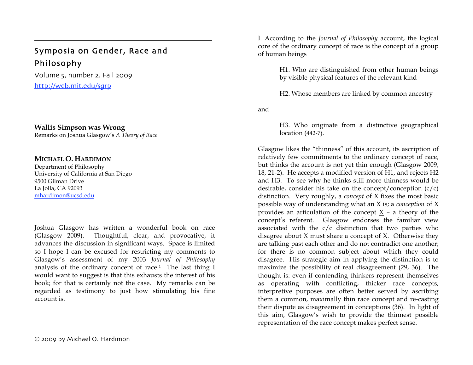# Symposia on Gender, Race and Philosophy

Volume 5, number 2. Fall 2009 http://web.mit.edu/sgrp

=

## **Wallis Simpson was Wrong**

Remarks on Joshua Glasgow's *A Theory of Race*

## **MICHAEL O. HARDIMON**

Department of Philosophy University of California at San Diego 9500 Gilman Drive La Jolla, CA 92093 mhardimon@ucsd.edu

Joshua Glasgow has written a wonderful book on race (Glasgow 2009). Thoughtful, clear, and provocative, it advances the discussion in significant ways. Space is limited so I hope I can be excused for restricting my comments to Glasgow's assessment of my 2003 *Journal of Philosophy* analysis of the ordinary concept of race.1 The last thing I would want to suggest is that this exhausts the interest of his book; for that is certainly not the case. My remarks can be regarded as testimony to just how stimulating his fine account is.

2009 by Michael O. Hardimon

I. According to the *Journal of Philosophy* account, the logical core of the ordinary concept of race is the concept of a group of human beings

> H1. Who are distinguished from other human beings by visible physical features of the relevant kind

H2. Whose members are linked by common ancestry

and

H3. Who originate from a distinctive geographical location (442-7).

Glasgow likes the "thinness" of this account, its ascription of relatively few commitments to the ordinary concept of race, but thinks the account is not yet thin enough (Glasgow 2009, 18, 21-2). He accepts a modified version of H1, and rejects H2 and H3. To see why he thinks still more thinness would be desirable, consider his take on the concept/conception  $(c/c)$ distinction. Very roughly, a *concept* of X fixes the most basic possible way of understanding what an X is; a *conception* of X provides an articulation of the concept  $X$  – a theory of the concept's referent. Glasgow endorses the familiar view associated with the c/c distinction that two parties who disagree about X must share a concept of X. Otherwise they are talking past each other and do not contradict one another; for there is no common subject about which they could disagree. His strategic aim in applying the distinction is to maximize the possibility of real disagreement (29, 36). The thought is: even if contending thinkers represent themselves as operating with conflicting, thicker race concepts, interpretive purposes are often better served by ascribing them a common, maximally thin race concept and re-casting their dispute as disagreement in conceptions (36). In light of this aim, Glasgow's wish to provide the thinnest possible representation of the race concept makes perfect sense.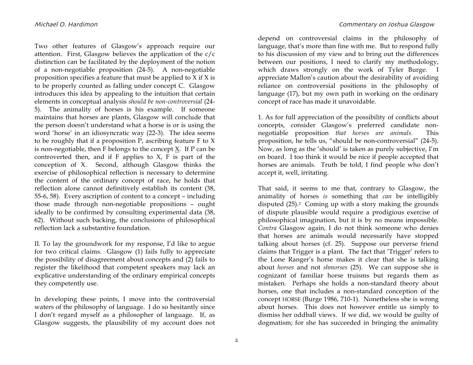Two other features of Glasgow's approach require our attention. First, Glasgow believes the application of the c/c distinction can be facilitated by the deployment of the notion of a non-negotiable proposition (24-5). A non-negotiable proposition specifies a feature that must be applied to X if X is to be properly counted as falling under concept C. Glasgow introduces this idea by appealing to the intuition that certain elements in conceptual analysis *should be non-controversial* (24- 5). The animality of horses is his example. If someone maintains that horses are plants, Glasgow will conclude that the person doesn't understand what a horse is or is using the word 'horse' in an idiosyncratic way (22-3). The idea seems to be roughly that if a proposition P, ascribing feature F to X is non-negotiable, then F belongs to the concept X. If P can be controverted then, and if  $F$  applies to  $X$ ,  $F$  is part of the conception of X. Second, although Glasgow thinks the exercise of philosophical reflection is necessary to determine the content of the ordinary concept of race, he holds that reflection alone cannot definitively establish its content (38, 55-6, 58). Every ascription of content to a concept – including those made through non-negotiable propositions – ought ideally to be confirmed by consulting experimental data (38, 62). Without such backing, the conclusions of philosophical reflection lack a substantive foundation.

II. To lay the groundwork for my response, I'd like to argue for two critical claims. Glasgow (1) fails fully to appreciate the possibility of disagreement about concepts and (2) fails to register the likelihood that competent speakers may lack an explicative understanding of the ordinary empirical concepts they competently use.

In developing these points, I move into the controversial waters of the philosophy of language. I do so hesitantly since I don't regard myself as a philosopher of language. If, as Glasgow suggests, the plausibility of my account does not

depend on controversial claims in the philosophy of language, that's more than fine with me. But to respond fully to his discussion of my view and to bring out the differences between our positions, I need to clarify my methodology, which draws strongly on the work of Tyler Burge. I appreciate Mallon's caution about the desirability of avoiding reliance on controversial positions in the philosophy of language (17), but my own path in working on the ordinary concept of race has made it unavoidable.

1. As for full appreciation of the possibility of conflicts about concepts, consider Glasgow's preferred candidate nonnegotiable proposition *that horses are animals.* This proposition, he tells us, "should be non-controversial" (24-5). Now, as long as the 'should' is taken as purely subjective, I'm on board. I too think it would be nice if people accepted that horses are animals. Truth be told, I find people who don't accept it, well, irritating.

That said, it seems to me that, contrary to Glasgow, the animality of horses *is* something that *can* be intelligibly disputed (25).2 Coming up with a story making the grounds of dispute plausible would require a prodigious exercise of philosophical imagination, but it is by no means impossible. *Contra* Glasgow again, I do not think someone who denies that horses are animals would necessarily have stopped talking about horses (cf. 25). Suppose our perverse friend claims that Trigger is a plant. The fact that 'Trigger' refers to the Lone Ranger's horse makes it clear that she is talking about *horses* and not *shmorses* (25). We can suppose she is cognizant of familiar horse truisms but regards them as mistaken. Perhaps she holds a non-standard theory about horses, one that includes a non-standard conception of the concept HORSE (Burge 1986, 710-1). Nonetheless she is wrong about horses. This does not however entitle us simply to dismiss her oddball views. If we did, we would be guilty of dogmatism; for she has succeeded in bringing the animality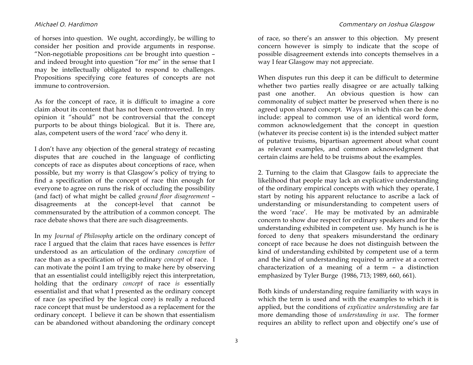of horses into question. We ought, accordingly, be willing to consider her position and provide arguments in response. "Non-negotiable propositions *can* be brought into question – and indeed brought into question "for me" in the sense that I may be intellectually obligated to respond to challenges. Propositions specifying core features of concepts are not immune to controversion.

As for the concept of race, it is difficult to imagine a core claim about its content that has not been controverted. In my opinion it "should" not be controversial that the concept purports to be about things biological. But it is. There are, alas, competent users of the word 'race' who deny it.

I don't have any objection of the general strategy of recasting disputes that are couched in the language of conflicting concepts of race as disputes about conceptions of race, when possible, but my worry is that Glasgow's policy of trying to find a specification of the concept of race thin enough for everyone to agree on runs the risk of occluding the possibility (and fact) of what might be called *ground floor disagreement* – disagreements at the concept-level that cannot be commensurated by the attribution of a common concept. The race debate shows that there are such disagreements.

In my *Journal of Philosophy* article on the ordinary concept of race I argued that the claim that races have essences is *better* understood as an articulation of the ordinary *conception* of race than as a specification of the ordinary *concept* of race. I can motivate the point I am trying to make here by observing that an essentialist could intelligibly reject this interpretation, holding that the ordinary *concept* of race *is* essentially essentialist and that what I presented as the ordinary concept of race (as specified by the logical core) is really a reduced race concept that must be understood as a replacement for the ordinary concept. I believe it can be shown that essentialism can be abandoned without abandoning the ordinary concept of race, so there's an answer to this objection. My present concern however is simply to indicate that the scope of possible disagreement extends into concepts themselves in a way I fear Glasgow may not appreciate.

When disputes run this deep it can be difficult to determine whether two parties really disagree or are actually talking past one another. An obvious question is how can commonality of subject matter be preserved when there is no agreed upon shared concept. Ways in which this can be done include: appeal to common use of an identical word form, common acknowledgement that the concept in question (whatever its precise content is) is the intended subject matter of putative truisms, bipartisan agreement about what count as relevant examples, and common acknowledgment that certain claims are held to be truisms about the examples.

2. Turning to the claim that Glasgow fails to appreciate the likelihood that people may lack an explicative understanding of the ordinary empirical concepts with which they operate, I start by noting his apparent reluctance to ascribe a lack of understanding or misunderstanding to competent users of the word 'race'. He may be motivated by an admirable concern to show due respect for ordinary speakers and for the understanding exhibited in competent use. My hunch is he is forced to deny that speakers misunderstand the ordinary concept of race because he does not distinguish between the kind of understanding exhibited by competent use of a term and the kind of understanding required to arrive at a correct characterization of a meaning of a term – a distinction emphasized by Tyler Burge (1986, 713; 1989, 660, 661).

Both kinds of understanding require familiarity with ways in which the term is used and with the examples to which it is applied, but the conditions of *explicative understanding* are far more demanding those of *understanding in use*. The former requires an ability to reflect upon and objectify one's use of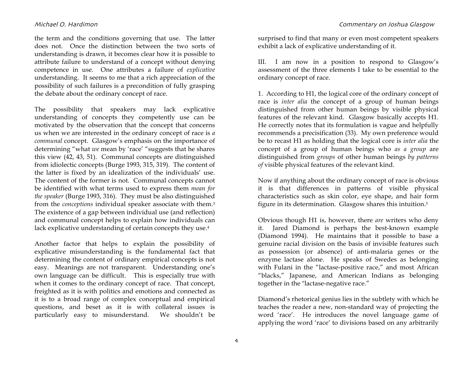the term and the conditions governing that use. The latter does not. Once the distinction between the two sorts of understanding is drawn, it becomes clear how it is possible to attribute failure to understand of a concept without denying competence in use. One attributes a failure of *explicative* understanding. It seems to me that a rich appreciation of the possibility of such failures is a precondition of fully grasping the debate about the ordinary concept of race.

The possibility that speakers may lack explicative understanding of concepts they competently use can be motivated by the observation that the concept that concerns us when we are interested in the ordinary concept of race is *a communal* concept. Glasgow's emphasis on the importance of determining "what *we* mean by 'race' "suggests that he shares this view (42, 43, 51). Communal concepts are distinguished from idiolectic concepts (Burge 1993, 315, 319). The content of the latter is fixed by an idealization of the individuals' use. The content of the former is not. Communal concepts cannot be identified with what terms used to express them *mean for the speaker* (Burge 1993, 316). They must be also distinguished from the *conceptions* individual speaker associate with them.3 The existence of a gap between individual use (and reflection) and communal concept helps to explain how individuals can lack explicative understanding of certain concepts they use.4

Another factor that helps to explain the possibility of explicative misunderstanding is the fundamental fact that determining the content of ordinary empirical concepts is not easy. Meanings are not transparent. Understanding one's own language can be difficult. This is especially true with when it comes to the ordinary concept of race. That concept, freighted as it is with politics and emotions and connected as it is to a broad range of complex conceptual and empirical questions, and beset as it is with collateral issues is particularly easy to misunderstand. We shouldn't be surprised to find that many or even most competent speakers exhibit a lack of explicative understanding of it.

III. I am now in a position to respond to Glasgow's assessment of the three elements I take to be essential to the ordinary concept of race.

1. According to H1, the logical core of the ordinary concept of race is *inter alia* the concept of a group of human beings distinguished from other human beings by visible physical features of the relevant kind. Glasgow basically accepts H1. He correctly notes that its formulation is vague and helpfully recommends a precisification (33). My own preference would be to recast H1 as holding that the logical core is *inter alia* the concept of a group of human beings who *as a group* are distinguished from *groups* of other human beings *by patterns of* visible physical features of the relevant kind.

Now if anything about the ordinary concept of race is obvious it is that differences in patterns of visible physical characteristics such as skin color, eye shape, and hair form figure in its determination. Glasgow shares this intuition.5

Obvious though H1 is, however, there *are* writers who deny it. Jared Diamond is perhaps the best-known example (Diamond 1994). He maintains that it possible to base a genuine racial division on the basis of invisible features such as possession (or absence) of anti-malaria genes or the enzyme lactase alone. He speaks of Swedes as belonging with Fulani in the "lactase-positive race," and most African "blacks," Japanese, and American Indians as belonging together in the "lactase-negative race."

Diamond's rhetorical genius lies in the subtlety with which he teaches the reader a new, non-standard way of projecting the word 'race'. He introduces the novel language game of applying the word 'race' to divisions based on any arbitrarily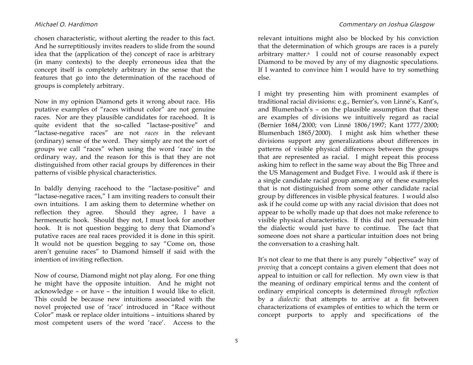chosen characteristic, without alerting the reader to this fact. And he surreptitiously invites readers to slide from the sound idea that the (application of the) concept of race is arbitrary (in many contexts) to the deeply erroneous idea that the concept itself is completely arbitrary in the sense that the features that go into the determination of the racehood of groups is completely arbitrary.

Now in my opinion Diamond gets it wrong about race. His putative examples of "races without color" are not genuine races. Nor are they plausible candidates for racehood. It is quite evident that the so-called "lactase-positive" and "lactase-negative races" are not *races* in the relevant (ordinary) sense of the word. They simply are not the sort of groups we call "races" when using the word 'race' in the ordinary way, and the reason for this is that they are not distinguished from other racial groups by differences in their patterns of visible physical characteristics.

In baldly denying racehood to the "lactase-positive" and "lactase-negative races," I am inviting readers to consult their own intuitions. I am asking them to determine whether on reflection they agree. Should they agree, I have a hermeneutic hook. Should they not, I must look for another hook. It is not question begging to deny that Diamond's putative races are real races provided it is done in this spirit. It would not be question begging to say "Come on, those aren't genuine races" to Diamond himself if said with the intention of inviting reflection.

Now of course, Diamond might not play along. For one thing he might have the opposite intuition. And he might not acknowledge – or have – the intuition I would like to elicit. This could be because new intuitions associated with the novel projected use of 'race' introduced in "Race without Color" mask or replace older intuitions – intuitions shared by most competent users of the word 'race'. Access to the

relevant intuitions might also be blocked by his conviction that the determination of which groups are races is a purely arbitrary matter.6 I could not of course reasonably expect Diamond to be moved by any of my diagnostic speculations. If I wanted to convince him I would have to try something else.

I might try presenting him with prominent examples of traditional racial divisions: e.g., Bernier's, von Linné's, Kant's, and Blumenbach's – on the plausible assumption that these are examples of divisions we intuitively regard as racial (Bernier 1684/2000; von Linné 1806/1997; Kant 1777/2000; Blumenbach 1865/2000). I might ask him whether these divisions support any generalizations about differences in patterns of visible physical differences between the groups that are represented as racial. I might repeat this process asking him to reflect in the same way about the Big Three and the US Management and Budget Five. I would ask if there is a single candidate racial group among any of these examples that is not distinguished from some other candidate racial group by differences in visible physical features. I would also ask if he could come up with any racial division that does not appear to be wholly made up that does not make reference to visible physical characteristics. If this did not persuade him the dialectic would just have to continue. The fact that someone does not share a particular intuition does not bring the conversation to a crashing halt.

It's not clear to me that there is any purely "objective" way of *proving* that a concept contains a given element that does not appeal to intuition or call for reflection. My own view is that the meaning of ordinary empirical terms and the content of ordinary empirical concepts is determined *through reflection* by a *dialectic* that attempts to arrive at a fit between characterizations of examples of entities to which the term or concept purports to apply and specifications of the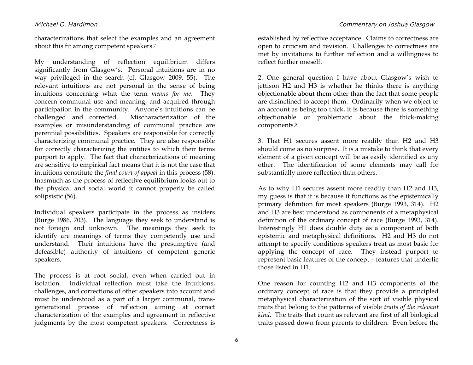characterizations that select the examples and an agreement about this fit among competent speakers.7

My understanding of reflection equilibrium differs significantly from Glasgow's. Personal intuitions are in no way privileged in the search (cf. Glasgow 2009, 55). The relevant intuitions are not personal in the sense of being intuitions concerning what the term *means for me*. They concern communal use and meaning, and acquired through participation in the community. Anyone's intuitions can be challenged and corrected. Mischaracterization of the examples or misunderstanding of communal practice are perennial possibilities. Speakers are responsible for correctly characterizing communal practice. They are also responsible for correctly characterizing the entities to which their terms purport to apply. The fact that characterizations of meaning are sensitive to empirical fact means that it is not the case that intuitions constitute the *final court of appeal* in this process (58). Inasmuch as the process of reflective equilibrium looks out to the physical and social world it cannot properly be called solipsistic (56).

Individual speakers participate in the process as insiders (Burge 1986, 703). The language they seek to understand is not foreign and unknown. The meanings they seek to identify are meanings of terms they competently use and understand. Their intuitions have the presumptive (and defeasible) authority of intuitions of competent generic speakers.

The process is at root social, even when carried out in isolation. Individual reflection must take the intuitions, challenges, and corrections of other speakers into account and must be understood as a part of a larger communal, transgenerational process of reflection aiming at correct characterization of the examples and agreement in reflective judgments by the most competent speakers. Correctness is

established by reflective acceptance. Claims to correctness are open to criticism and revision. Challenges to correctness are met by invitations to further reflection and a willingness to reflect further oneself.

2. One general question I have about Glasgow's wish to jettison H2 and H3 is whether he thinks there is anything objectionable about them other than the fact that some people are disinclined to accept them. Ordinarily when we object to an account as being too thick, it is because there is something objectionable or problematic about the thick-making components.8

3. That H1 secures assent more readily than H2 and H3 should come as no surprise. It is a mistake to think that every element of a given concept will be as easily identified as any other. The identification of some elements may call for substantially more reflection than others.

As to why H1 secures assent more readily than H2 and H3, my guess is that it is because it functions as the epistemically primary definition for most speakers (Burge 1993, 314). H2 and H3 are best understood as components of a metaphysical definition of the ordinary concept of race (Burge 1993, 314). Interestingly H1 does double duty as a component of both epistemic and metaphysical definitions. H2 and H3 do not attempt to specify conditions speakers treat as most basic for applying the concept of race. They instead purport to represent basic features of the concept – features that underlie those listed in H1.

One reason for counting H2 and H3 components of the ordinary concept of race is that they provide a principled metaphysical characterization of the sort of visible physical traits that belong to the patterns of visible *traits of the relevant kind*. The traits that count as relevant are first of all biological traits passed down from parents to children. Even before the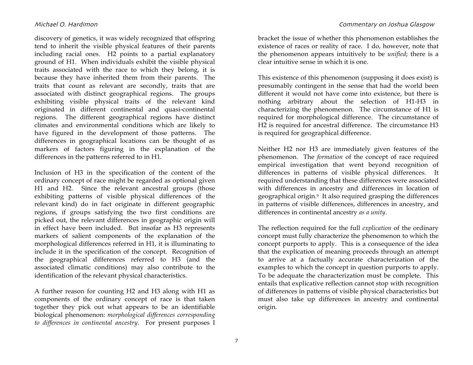discovery of genetics, it was widely recognized that offspring tend to inherit the visible physical features of their parents including racial ones. H2 points to a partial explanatory ground of H1. When individuals exhibit the visible physical traits associated with the race to which they belong, it is because they have inherited them from their parents. The traits that count as relevant are secondly, traits that are associated with distinct geographical regions. The groups exhibiting visible physical traits of the relevant kind originated in different continental and quasi-continental regions. The different geographical regions have distinct climates and environmental conditions which are likely to have figured in the development of those patterns. The differences in geographical locations can be thought of as markers of factors figuring in the explanation of the differences in the patterns referred to in H1.

Inclusion of H3 in the specification of the content of the ordinary concept of race might be regarded as optional given H1 and H2. Since the relevant ancestral groups (those exhibiting patterns of visible physical differences of the relevant kind) do in fact originate in different geographic regions, if groups satisfying the two first conditions are picked out, the relevant differences in geographic origin will in effect have been included. But insofar as H3 represents markers of salient components of the explanation of the morphological differences referred in H1, it is illuminating to include it in the specification of the concept. Recognition of the geographical differences referred to H3 (and the associated climatic conditions) may also contribute to the identification of the relevant physical characteristics.

A further reason for counting H2 and H3 along with H1 as components of the ordinary concept of race is that taken together they pick out what appears to be an identifiable biological phenomenon: *morphological differences corresponding to differences in continental ancestry*. For present purposes I bracket the issue of whether this phenomenon establishes the existence of races or reality of race. I do, however, note that the phenomenon appears intuitively to be *unified*; there is a clear intuitive sense in which it is one.

This existence of this phenomenon (supposing it does exist) is presumably contingent in the sense that had the world been different it would not have come into existence, but there is nothing arbitrary about the selection of H1-H3 in characterizing the phenomenon. The circumstance of H1 is required for morphological difference. The circumstance of H2 is required for ancestral difference. The circumstance H3 is required for geographical difference.

Neither H2 nor H3 are immediately given features of the phenomenon. The *formation* of the concept of race required empirical investigation that went beyond recognition of differences in patterns of visible physical differences. It required understanding that these differences were associated with differences in ancestry and differences in location of geographical origin.9 It also required grasping the differences in patterns of visible differences, differences in ancestry, and differences in continental ancestry *as a unity*.

The reflection required for the full *explication* of the ordinary concept must fully characterize the phenomenon to which the concept purports to apply. This is a consequence of the idea that the explication of meaning proceeds through an attempt to arrive at a factually accurate characterization of the examples to which the concept in question purports to apply. To be adequate the characterization must be complete. This entails that explicative reflection cannot stop with recognition of differences in patterns of visible physical characteristics but must also take up differences in ancestry and continental origin.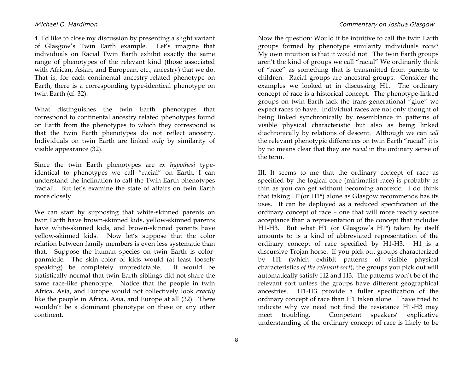4. I'd like to close my discussion by presenting a slight variant of Glasgow's Twin Earth example. Let's imagine that individuals on Racial Twin Earth exhibit exactly the same range of phenotypes of the relevant kind (those associated with African, Asian, and European, etc., ancestry) that we do. That is, for each continental ancestry-related phenotype on Earth, there is a corresponding type-identical phenotype on twin Earth (cf. 32).

What distinguishes the twin Earth phenotypes that correspond to continental ancestry related phenotypes found on Earth from the phenotypes to which they correspond is that the twin Earth phenotypes do not reflect ancestry. Individuals on twin Earth are linked *only* by similarity of visible appearance (32).

Since the twin Earth phenotypes are *ex hypothesi* typeidentical to phenotypes we call "racial" on Earth, I can understand the inclination to call the Twin Earth phenotypes 'racial'. But let's examine the state of affairs on twin Earth more closely.

We can start by supposing that white-skinned parents on twin Earth have brown-skinned kids, yellow-skinned parents have white-skinned kids, and brown-skinned parents have yellow-skinned kids. Now let's suppose that the color relation between family members is even less systematic than that. Suppose the human species on twin Earth is colorpanmictic. The skin color of kids would (at least loosely speaking) be completely unpredictable. It would be statistically normal that twin Earth siblings did not share the same race-like phenotype. Notice that the people in twin Africa, Asia, and Europe would not collectively look *exactly*  like the people in Africa, Asia, and Europe at all (32). There wouldn't be a dominant phenotype on these or any other continent.

Now the question: Would it be intuitive to call the twin Earth groups formed by phenotype similarity individuals r*aces*? My own intuition is that it would not. The twin Earth groups aren't the kind of groups we call "racial" We ordinarily think of "race" as something that is transmitted from parents to children. Racial groups are ancestral groups. Consider the examples we looked at in discussing H1. The ordinary concept of race is a historical concept. The phenotype-linked groups on twin Earth lack the trans-generational "glue" we expect races to have. Individual races are not only thought of being linked synchronically by resemblance in patterns of visible physical characteristic but also as being linked diachronically by relations of descent. Although we can *call* the relevant phenotypic differences on twin Earth "racial" it is by no means clear that they are *racial* in the ordinary sense of the term.

III. It seems to me that the ordinary concept of race as specified by the logical core (minimalist race) is probably as thin as you can get without becoming anorexic. I do think that taking H1(or H1\*) alone as Glasgow recommends has its uses. It can be deployed as a reduced specification of the ordinary concept of race – one that will more readily secure acceptance than a representation of the concept that includes H1-H3. But what H1 (or Glasgow's H1\*) taken by itself amounts to is a kind of abbreviated representation of the ordinary concept of race specified by H1-H3. H1 is a discursive Trojan horse. If you pick out groups characterized by H1 (which exhibit patterns of visible physical characteristics *of the relevant sort*), the groups you pick out will automatically satisfy H2 and H3. The patterns won't be of the relevant sort unless the groups have different geographical ancestries. H1-H3 provide a fuller specification of the ordinary concept of race than H1 taken alone. I have tried to indicate why we need not find the resistance H1-H3 may meet troubling. Competent speakers' explicative understanding of the ordinary concept of race is likely to be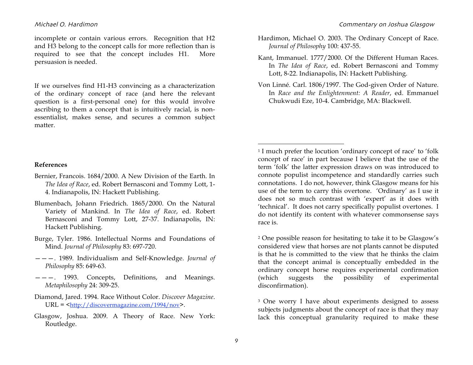incomplete or contain various errors. Recognition that H2 and H3 belong to the concept calls for more reflection than is required to see that the concept includes H1. More persuasion is needed.

If we ourselves find H1-H3 convincing as a characterization of the ordinary concept of race (and here the relevant question is a first-personal one) for this would involve ascribing to them a concept that is intuitively racial, is nonessentialist, makes sense, and secures a common subject matter.

- Hardimon, Michael O. 2003. The Ordinary Concept of Race. *Journal of Philosophy* 100: 437-55.
- Kant, Immanuel. 1777/2000. Of the Different Human Races. In *The Idea of Race*, ed. Robert Bernasconi and Tommy Lott, 8-22. Indianapolis, IN: Hackett Publishing.
- Von Linné. Carl. 1806/1997. The God-given Order of Nature. In *Race and the Enlightenment: A Reader*, ed. Emmanuel Chukwudi Eze, 10-4. Cambridge, MA: Blackwell.

### **References**

- Bernier, Francois. 1684/2000. A New Division of the Earth. In *The Idea of Race*, ed. Robert Bernasconi and Tommy Lott, 1- 4. Indianapolis, IN: Hackett Publishing.
- Blumenbach, Johann Friedrich. 1865/2000. On the Natural Variety of Mankind. In *The Idea of Race*, ed. Robert Bernasconi and Tommy Lott, 27-37. Indianapolis, IN: Hackett Publishing.
- Burge, Tyler. 1986. Intellectual Norms and Foundations of Mind. *Journal of Philosophy* 83: 697-720.
- ———. 1989. Individualism and Self-Knowledge. *Journal of Philosophy* 85: 649-63.
- ———. 1993. Concepts, Definitions, and Meanings. *Metaphilosophy* 24: 309-25.
- Diamond, Jared. 1994. Race Without Color. *Discover Magazine*.  $URL =$ .
- Glasgow, Joshua. 2009. A Theory of Race. New York: Routledge.

<sup>1</sup> I much prefer the locution 'ordinary concept of race' to 'folk concept of race' in part because I believe that the use of the term 'folk' the latter expression draws on was introduced to connote populist incompetence and standardly carries such connotations. I do not, however, think Glasgow means for his use of the term to carry this overtone. 'Ordinary' as I use it does not so much contrast with 'expert' as it does with 'technical'. It does not carry specifically populist overtones. I do not identify its content with whatever commonsense says race is.

2 One possible reason for hesitating to take it to be Glasgow's considered view that horses are not plants cannot be disputed is that he is committed to the view that he thinks the claim that the concept animal is conceptually embedded in the ordinary concept horse requires experimental confirmation (which suggests the possibility of experimental disconfirmation).

3 One worry I have about experiments designed to assess subjects judgments about the concept of race is that they may lack this conceptual granularity required to make these

 $\overline{a}$